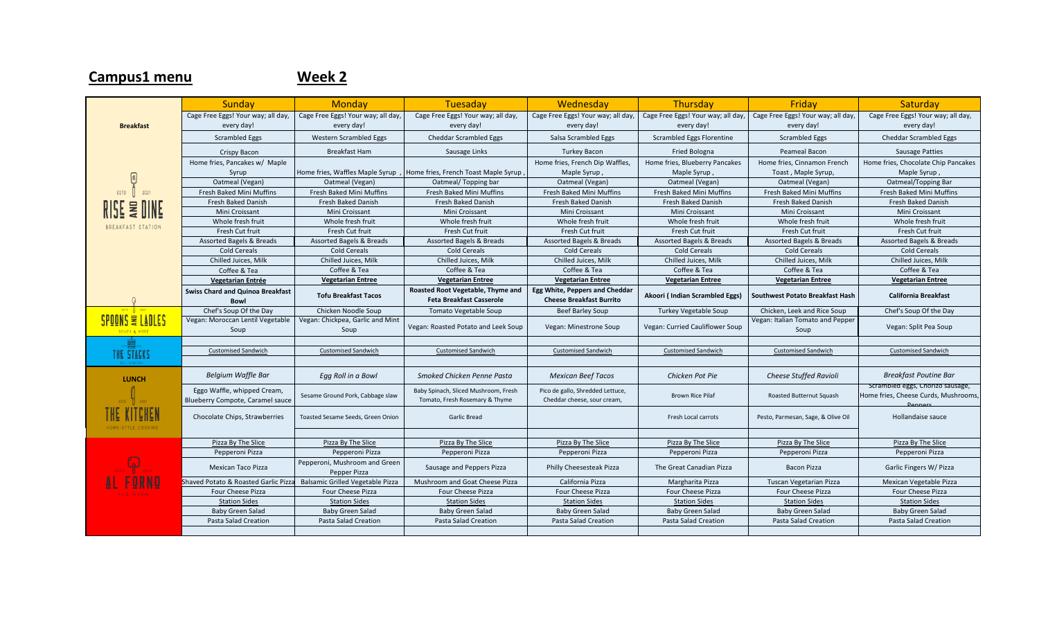## Sunday | Monday | Tuesaday | Wednesday | Thursday | Friday | Saturday Cage Free Eggs! Your way; all day, Cage Free Eggs! Your way; all day, Cage Free Eggs! Your way; all day, Cage Free Eggs! Your way; all day, Cage Free Eggs! Your way; all day, Cage Free Eggs! Your way; all day, Cage Free Eggs! Your way; all day, **Breakfast** every day! every day! every day! every day! every day! every day! every day! Scrambled Eggs | Western Scrambled Eggs | Cheddar Scrambled Eggs | Salsa Scrambled Eggs | Scrambled Eggs Florentine | Scrambled Eggs | Cheddar Scrambled Eggs Crispy Bacon | Breakfast Ham | Sausage Links | Turkey Bacon | Fried Bologna | Peameal Bacon | Sausage Patties Home fries, Pancakes w/ Maple Home fries, French Dip Waffles, Home fries, Blueberry Pancakes Home fries, Cinnamon French Home fries, Chocolate Chip Pancakes Syrup Home fries, Waffles Maple Syrup , Home fries, French Toast Maple Syrup , Maple Syrup , Maple Syrup , Toast , Maple Syrup, Maple Syrup ,  $\boxed{2}$ Oatmeal (Vegan) Oatmeal (Vegan) Oatmeal/ Topping bar Oatmeal (Vegan) Oatmeal (Vegan) Oatmeal (Vegan) Oatmeal/Topping Bar ESTD Fresh Baked Mini Muffins | Fresh Baked Mini Muffins | Fresh Baked Mini Muffins | Fresh Baked Mini Muffins | Fresh Baked Mini Muffins | Fresh Baked Mini Muffins | Fresh Baked Mini Muffins | Fresh Baked Mini Muffins | Fresh RISE **WIN** Fresh Baked Danish Fresh Baked Danish Fresh Baked Danish Fresh Baked Danish Fresh Baked Danish Fresh Baked Danish Fresh Baked Danish Mini Croissant | Mini Croissant | Mini Croissant | Mini Croissant | Mini Croissant | Mini Croissant | Mini Croissant Whole fresh fruit | Whole fresh fruit | Whole fresh fruit | Whole fresh fruit | Whole fresh fruit | Whole fresh fruit | Whole fresh fruit | Whole fresh fruit BREAKFAST STATION Fresh Cut fruit Fresh Cut fruit Fresh Cut fruit Fresh Cut fruit Fresh Cut fruit Fresh Cut fruit Fresh Cut fruit Assorted Bagels & Breads Assorted Bagels & Breads Assorted Bagels & Breads Assorted Bagels & Breads Assorted Bagels & Breads Assorted Bagels & Breads Assorted Bagels & Breads Assorted Bagels & Breads Assorted Bagels & Brea Cold Cereals Cold Cereals Cold Cereals Cold Cereals Cold Cereals Cold Cereals Cold Cereals Chilled Juices, Milk Chilled Juices, Milk Chilled Juices, Milk Chilled Juices, Milk Chilled Juices, Milk Chilled Juices, Milk Chilled Juices, Milk Coffee & Tea Coffee & Tea Coffee & Tea Coffee & Tea Coffee & Tea Coffee & Tea Coffee & Tea **Vegetarian Entree Vegetarian Entrée Vegetarian Entree Vegetarian Entree Vegetarian Entree Vegetarian Entree Vegetarian Entree Vegetarian Entree Swiss Chard and Quinoa Breakfast Roasted Root Vegetable, Thyme and Egg White, Peppers and Cheddar Bowl Tofu Breakfast Tacos Cheese Breakfast Burrito Akoori ( Indian Scrambled Eggs) Southwest Potato Breakfast Hash California Breakfast Feta Breakfast Casserole** Chef's Soup Of the Day Chicken Noodle Soup | Tomato Vegetable Soup | Beef Barley Soup | Turkey Vegetable Soup | Chicken, Leek and Rice Soup | Chef's Soup Of the Day SPOONS & LADLES Vegan: Chickpea, Garlic and Mint Vegan: Moroccan Lentil Vegetable Vegan: Italian Tomato and Peppe Soup Vegan: Roasted Potato and Leek Soup Vegan: Minestrone Soup Vegan: Curried Cauliflower Soup Soup Vegan: Split Pea Soup Soup THE STACKS Customised Sandwich Customised Sandwich Customised Sandwich Customised Sandwich Customised Sandwich Customised Sandwich Customised Sandwich **LUNCH** *Belgium Waffle Bar Egg Roll in a Bowl Smoked Chicken Penne Pasta Mexican Beef Tacos Chicken Pot Pie Cheese Stuffed Ravioli Breakfast Poutine Bar* Scrambled eggs, Chorizo sausage, Eggo Waffle, whipped Cream, Sesame Ground Pork, Cabbage slaw Baby Spinach, Sliced Mushroom, Fresh Pico de gallo, Shredded Lettuce, The discussion of the cheddar cheese, sour cream, and the Brown Rice Pilaf Roasted Butternut Squash Cheddar cheese, sour cream, Home fries, Cheese Curds, Mushrooms, Tomato, Fresh Rosemary & Thyme Blueberry Compote, Caramel sauce Peppers 'HE KITCHEI Chocolate Chips, Strawberries Toasted Sesame Seeds, Green Onion Garlic Bread Garlic Bread Fresh Local carrots Pesto, Parmesan, Sage, & Olive Oil Hollandaise sauce Pizza By The Slice Pizza By The Slice Pizza By The Slice Pizza By The Slice Pizza By The Slice Pizza By The Slice Pizza By The Slice Pizza By The Slice Pizza By The Slice Pizza By The Slice Pizza By The Slice Pizza By The Pepperoni Pizza | Pepperoni Pizza | Pepperoni Pizza | Pepperoni Pizza | Pepperoni Pizza | Pepperoni Pizza | Pepperoni Pizza Mexican Taco Pizza Pepperoni, Mushroom and Green Sausage and Peppers Pizza | Philly Cheesesteak Pizza | The Great Canadian Pizza | Bacon Pizza | Garlic Fingers W/ Pizza Pepper Pizza Shaved Potato & Roasted Garlic Pizza Balsamic Grilled Vegetable Pizza Mushroom and Goat Cheese Pizza California Pizza Margharita Pizza Tuscan Vegetarian Pizza Mexican Vegetable Pizza Four Cheese Pizza Four Cheese Pizza Four Cheese Pizza Four Cheese Pizza Four Cheese Pizza Four Cheese Pizza Four Cheese Pizza Station Sides Station Sides | Station Sides | Station Sides | Station Sides | Station Sides | Station Sides | Station Sides Baby Green Salad | Baby Green Salad | Baby Green Salad | Baby Green Salad | Baby Green Salad | Baby Green Salad | Baby Green Salad | Baby Green Salad Pasta Salad Creation | Pasta Salad Creation | Pasta Salad Creation | Pasta Salad Creation | Pasta Salad Creation | Pasta Salad Creation | Pasta Salad Creation | Pasta Salad Creation | Pasta Salad Creation | Pasta Salad Cre

**Campus1 menu Week 2**